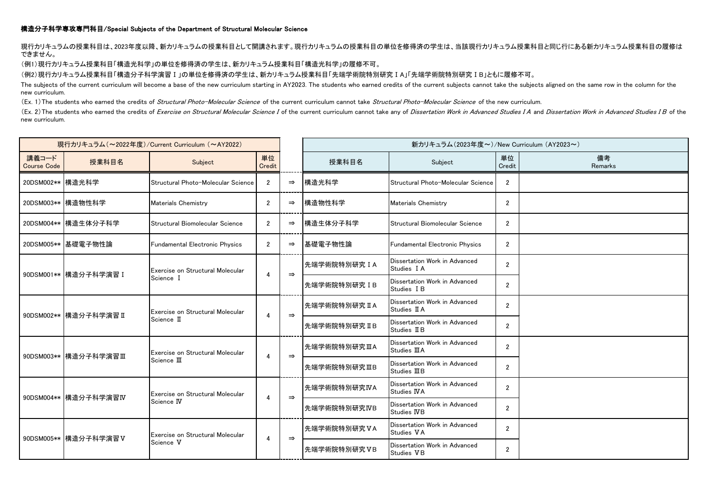## 構造分子科学専攻専門科目/Special Subjects of the Department of Structural Molecular Science

現行カリキュラムの授業科目は、2023年度以降、新カリキュラムの授業科目として開講されます。現行カリキュラムの授業科目の単位を修得済の学生は、当該現行カリキュラム授業科目と同じ行にある新カリキュラム授業科目の履修は できません。

(例1)現行カリキュラム授業科目「構造光科学」の単位を修得済の学生は、新カリキュラム授業科目「構造光科学」の履修不可。

(例2)現行カリキュラム授業科目「構造分子科学演習Ⅰ」の単位を修得済の学生は、新カリキュラム授業科目「先端学術院特別研究ⅠA」「先端学術院特別研究ⅠB」ともに履修不可。

The subjects of the current curriculum will become a base of the new curriculum starting in AY2023. The students who earned credits of the current subjects cannot take the subjects aligned on the same row in the column for new curriculum.

(Ex. 1) The students who earned the credits of *Structural Photo-Molecular Science* of the current curriculum cannot take *Structural Photo-Molecular Science* of the new curriculum.

(Ex. 2) The students who earned the credits of Exercise on Structural Molecular Science I of the current curriculum cannot take any of Dissertation Work in Advanced Studies I A and Dissertation Work in Advanced Studies I B new curriculum.

| 現行カリキュラム (~2022年度)/Current Curriculum (~AY2022) |                        |                                                 |                |               | 新カリキュラム (2023年度~)/New Curriculum (AY2023~) |                                                |                |               |
|-------------------------------------------------|------------------------|-------------------------------------------------|----------------|---------------|--------------------------------------------|------------------------------------------------|----------------|---------------|
| 講義コード<br><b>Course Code</b>                     | 授業科目名                  | Subject                                         | 単位<br>Credit   |               | 授業科目名                                      | Subject                                        | 単位<br>Credit   | 備考<br>Remarks |
| 20DSM002** 構造光科学                                |                        | Structural Photo-Molecular Science              | 2              | $\Rightarrow$ | 構造光科学                                      | Structural Photo-Molecular Science             | $\overline{2}$ |               |
|                                                 | 20DSM003** 構造物性科学      | <b>Materials Chemistry</b>                      | $\overline{2}$ | $\Rightarrow$ | 構造物性科学                                     | <b>Materials Chemistry</b>                     | $\overline{2}$ |               |
|                                                 | 20DSM004** 構造生体分子科学    | Structural Biomolecular Science                 | $\overline{2}$ | $\Rightarrow$ | 構造生体分子科学                                   | Structural Biomolecular Science                | $\overline{2}$ |               |
|                                                 | 20DSM005** 基礎電子物性論     | Fundamental Electronic Physics                  | $\overline{2}$ | $\Rightarrow$ | 基礎電子物性論                                    | Fundamental Electronic Physics                 | $\overline{2}$ |               |
|                                                 | 90DSM001** 構造分子科学演習 I  | Exercise on Structural Molecular<br>Science I   | 4              | $\Rightarrow$ | 先端学術院特別研究IA                                | Dissertation Work in Advanced<br>Studies I A   | $\overline{2}$ |               |
|                                                 |                        |                                                 |                |               | 先端学術院特別研究 IB                               | Dissertation Work in Advanced<br>Studies I B   | $\overline{2}$ |               |
|                                                 | 90DSM002** 構造分子科学演習 II | Exercise on Structural Molecular<br>Science II  | 4              | $\Rightarrow$ | 先端学術院特別研究 II A                             | Dissertation Work in Advanced<br>Studies II A  | $\overline{2}$ |               |
|                                                 |                        |                                                 |                |               | 先端学術院特別研究 IIB                              | Dissertation Work in Advanced<br>Studies II B  | $\overline{2}$ |               |
|                                                 | 90DSM003** 構造分子科学演習Ⅲ   | Exercise on Structural Molecular<br>Science III | 4              | $\Rightarrow$ | 先端学術院特別研究ⅢA                                | Dissertation Work in Advanced<br>Studies III A | $\overline{2}$ |               |
|                                                 |                        |                                                 |                |               | 先端学術院特別研究ⅢB                                | Dissertation Work in Advanced<br>Studies IIIB  | $\overline{2}$ |               |
|                                                 | 90DSM004** 構造分子科学演習IV  | Exercise on Structural Molecular<br>Science IV  | 4              | $\Rightarrow$ | 先端学術院特別研究IVA                               | Dissertation Work in Advanced<br>Studies IVA   | $\overline{2}$ |               |
|                                                 |                        |                                                 |                |               | 先端学術院特別研究IVB                               | Dissertation Work in Advanced<br>Studies IVB   | $\overline{2}$ |               |
|                                                 | 90DSM005** 構造分子科学演習 V  | Exercise on Structural Molecular<br>Science V   | 4              | $\Rightarrow$ | 先端学術院特別研究VA                                | Dissertation Work in Advanced<br>Studies VA    | $\overline{2}$ |               |
|                                                 |                        |                                                 |                |               | 先端学術院特別研究VB                                | Dissertation Work in Advanced<br>Studies VB    | $\overline{2}$ |               |